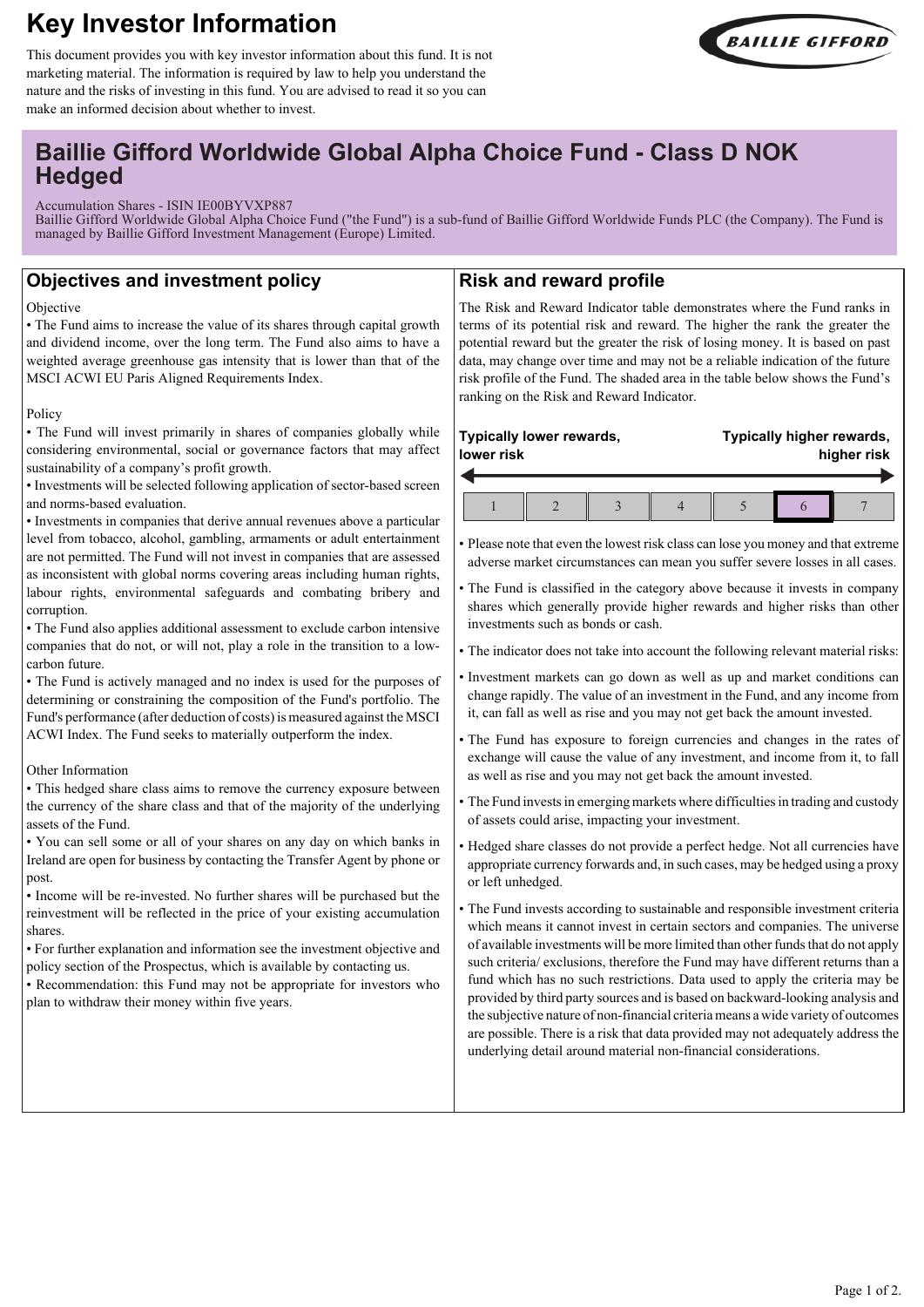# **Key Investor Information**



This document provides you with key investor information about this fund. It is not marketing material. The information is required by law to help you understand the nature and the risks of investing in this fund. You are advised to read it so you can make an informed decision about whether to invest.

## **Baillie Gifford Worldwide Global Alpha Choice Fund - Class D NOK Hedged**

Accumulation Shares - ISIN IE00BYVXP887

Baillie Gifford Worldwide Global Alpha Choice Fund ("the Fund") is a sub-fund of Baillie Gifford Worldwide Funds PLC (the Company). The Fund is managed by Baillie Gifford Investment Management (Europe) Limited.

## **Objectives and investment policy**

#### Objective

• The Fund aims to increase the value of its shares through capital growth and dividend income, over the long term. The Fund also aims to have a weighted average greenhouse gas intensity that is lower than that of the MSCI ACWI EU Paris Aligned Requirements Index.

#### Policy

• The Fund will invest primarily in shares of companies globally while considering environmental, social or governance factors that may affect sustainability of a company's profit growth.

• Investments will be selected following application of sector-based screen and norms-based evaluation.

• Investments in companies that derive annual revenues above a particular level from tobacco, alcohol, gambling, armaments or adult entertainment are not permitted. The Fund will not invest in companies that are assessed as inconsistent with global norms covering areas including human rights, labour rights, environmental safeguards and combating bribery and corruption.

• The Fund also applies additional assessment to exclude carbon intensive companies that do not, or will not, play a role in the transition to a lowcarbon future.

• The Fund is actively managed and no index is used for the purposes of determining or constraining the composition of the Fund's portfolio. The Fund's performance (after deduction of costs) is measured against the MSCI ACWI Index. The Fund seeks to materially outperform the index.

#### Other Information

• This hedged share class aims to remove the currency exposure between the currency of the share class and that of the majority of the underlying assets of the Fund.

• You can sell some or all of your shares on any day on which banks in Ireland are open for business by contacting the Transfer Agent by phone or post.

• Income will be re-invested. No further shares will be purchased but the reinvestment will be reflected in the price of your existing accumulation shares.

• For further explanation and information see the investment objective and policy section of the Prospectus, which is available by contacting us.

• Recommendation: this Fund may not be appropriate for investors who plan to withdraw their money within five years.

## **Risk and reward profile**

The Risk and Reward Indicator table demonstrates where the Fund ranks in terms of its potential risk and reward. The higher the rank the greater the potential reward but the greater the risk of losing money. It is based on past data, may change over time and may not be a reliable indication of the future risk profile of the Fund. The shaded area in the table below shows the Fund's ranking on the Risk and Reward Indicator.

#### **Typically lower rewards, lower risk Typically higher rewards, higher risk**  $1 \parallel 2 \parallel 3 \parallel 4 \parallel 5 \parallel 6 \parallel 7$

• Please note that even the lowest risk class can lose you money and that extreme adverse market circumstances can mean you suffer severe losses in all cases.

• The Fund is classified in the category above because it invests in company shares which generally provide higher rewards and higher risks than other investments such as bonds or cash.

• The indicator does not take into account the following relevant material risks:

• Investment markets can go down as well as up and market conditions can change rapidly. The value of an investment in the Fund, and any income from it, can fall as well as rise and you may not get back the amount invested.

• The Fund has exposure to foreign currencies and changes in the rates of exchange will cause the value of any investment, and income from it, to fall as well as rise and you may not get back the amount invested.

• The Fund invests in emerging markets where difficulties in trading and custody of assets could arise, impacting your investment.

• Hedged share classes do not provide a perfect hedge. Not all currencies have appropriate currency forwards and, in such cases, may be hedged using a proxy or left unhedged.

• The Fund invests according to sustainable and responsible investment criteria which means it cannot invest in certain sectors and companies. The universe of available investments will be more limited than other funds that do not apply such criteria/ exclusions, therefore the Fund may have different returns than a fund which has no such restrictions. Data used to apply the criteria may be provided by third party sources and is based on backward-looking analysis and the subjective nature of non-financial criteria means a wide variety of outcomes are possible. There is a risk that data provided may not adequately address the underlying detail around material non-financial considerations.